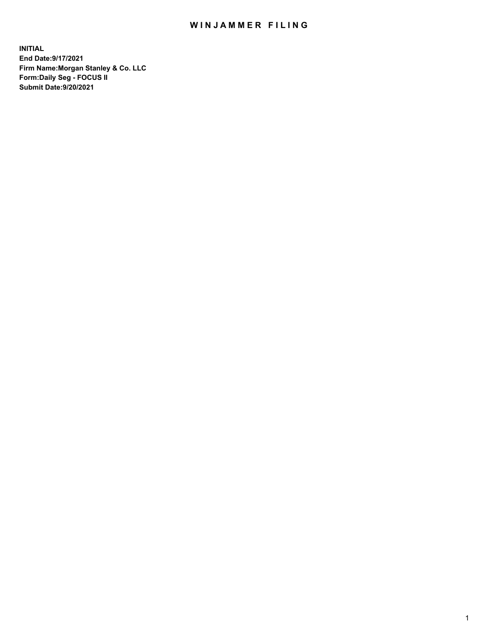## WIN JAMMER FILING

**INITIAL End Date:9/17/2021 Firm Name:Morgan Stanley & Co. LLC Form:Daily Seg - FOCUS II Submit Date:9/20/2021**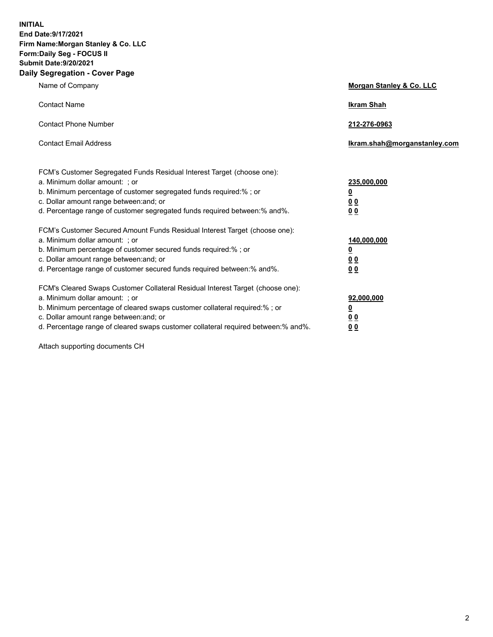**INITIAL End Date:9/17/2021 Firm Name:Morgan Stanley & Co. LLC Form:Daily Seg - FOCUS II Submit Date:9/20/2021 Daily Segregation - Cover Page**

| Name of Company                                                                                                                                                                                                                                                                                                                | Morgan Stanley & Co. LLC                                    |
|--------------------------------------------------------------------------------------------------------------------------------------------------------------------------------------------------------------------------------------------------------------------------------------------------------------------------------|-------------------------------------------------------------|
| <b>Contact Name</b>                                                                                                                                                                                                                                                                                                            | <b>Ikram Shah</b>                                           |
| <b>Contact Phone Number</b>                                                                                                                                                                                                                                                                                                    | 212-276-0963                                                |
| <b>Contact Email Address</b>                                                                                                                                                                                                                                                                                                   | lkram.shah@morganstanley.com                                |
| FCM's Customer Segregated Funds Residual Interest Target (choose one):<br>a. Minimum dollar amount: ; or<br>b. Minimum percentage of customer segregated funds required:% ; or<br>c. Dollar amount range between: and; or<br>d. Percentage range of customer segregated funds required between:% and%.                         | 235,000,000<br><u>0</u><br><u>00</u><br>00                  |
| FCM's Customer Secured Amount Funds Residual Interest Target (choose one):<br>a. Minimum dollar amount: ; or<br>b. Minimum percentage of customer secured funds required:%; or<br>c. Dollar amount range between: and; or<br>d. Percentage range of customer secured funds required between: % and %.                          | 140,000,000<br><u>0</u><br>0 <sub>0</sub><br>0 <sub>0</sub> |
| FCM's Cleared Swaps Customer Collateral Residual Interest Target (choose one):<br>a. Minimum dollar amount: ; or<br>b. Minimum percentage of cleared swaps customer collateral required:% ; or<br>c. Dollar amount range between: and; or<br>d. Percentage range of cleared swaps customer collateral required between:% and%. | 92,000,000<br><u>0</u><br><u>00</u><br>00                   |

Attach supporting documents CH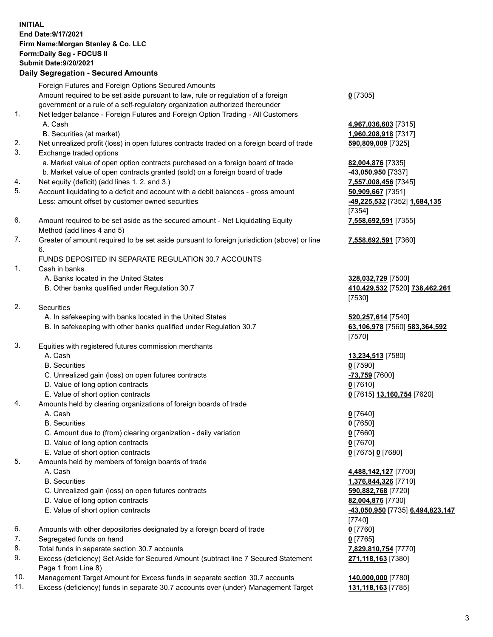## **INITIAL End Date:9/17/2021 Firm Name:Morgan Stanley & Co. LLC Form:Daily Seg - FOCUS II Submit Date:9/20/2021**

## **Daily Segregation - Secured Amounts**

Foreign Futures and Foreign Options Secured Amounts Amount required to be set aside pursuant to law, rule or regulation of a foreign government or a rule of a self-regulatory organization authorized thereunder 1. Net ledger balance - Foreign Futures and Foreign Option Trading - All Customers A. Cash **4,967,036,603** [7315] B. Securities (at market) **1,960,208,918** [7317] 2. Net unrealized profit (loss) in open futures contracts traded on a foreign board of trade **590,809,009** [7325] 3. Exchange traded options a. Market value of open option contracts purchased on a foreign board of trade **82,004,876** [7335] b. Market value of open contracts granted (sold) on a foreign board of trade **-43,050,950** [7337] 4. Net equity (deficit) (add lines 1. 2. and 3.) **7,557,008,456** [7345] 5. Account liquidating to a deficit and account with a debit balances - gross amount **50,909,667** [7351] Less: amount offset by customer owned securities **-49,225,532** [7352] **1,684,135** 6. Amount required to be set aside as the secured amount - Net Liquidating Equity Method (add lines 4 and 5)

7. Greater of amount required to be set aside pursuant to foreign jurisdiction (above) or line 6.

## FUNDS DEPOSITED IN SEPARATE REGULATION 30.7 ACCOUNTS

- 1. Cash in banks
	- A. Banks located in the United States **328,032,729** [7500]
	- B. Other banks qualified under Regulation 30.7 **410,429,532** [7520] **738,462,261**
- 2. Securities
	- A. In safekeeping with banks located in the United States **520,257,614** [7540]
	- B. In safekeeping with other banks qualified under Regulation 30.7 **63,106,978** [7560] **583,364,592**
- 3. Equities with registered futures commission merchants
	-
	- B. Securities **0** [7590]
	- C. Unrealized gain (loss) on open futures contracts **-73,759** [7600]
	- D. Value of long option contracts **0** [7610]
	- E. Value of short option contracts **0** [7615] **13,160,754** [7620]
- 4. Amounts held by clearing organizations of foreign boards of trade
	- A. Cash **0** [7640]
	- B. Securities **0** [7650]
	- C. Amount due to (from) clearing organization daily variation **0** [7660]
	- D. Value of long option contracts **0** [7670]
	- E. Value of short option contracts **0** [7675] **0** [7680]
- 5. Amounts held by members of foreign boards of trade
	-
	-
	- C. Unrealized gain (loss) on open futures contracts **590,882,768** [7720]
	- D. Value of long option contracts **82,004,876** [7730]
	- E. Value of short option contracts **-43,050,950** [7735] **6,494,823,147**
- 6. Amounts with other depositories designated by a foreign board of trade **0** [7760]
- 7. Segregated funds on hand **0** [7765]
- 8. Total funds in separate section 30.7 accounts **7,829,810,754** [7770]
- 9. Excess (deficiency) Set Aside for Secured Amount (subtract line 7 Secured Statement Page 1 from Line 8)
- 10. Management Target Amount for Excess funds in separate section 30.7 accounts **140,000,000** [7780]
- 11. Excess (deficiency) funds in separate 30.7 accounts over (under) Management Target **131,118,163** [7785]

**0** [7305]

[7354] **7,558,692,591** [7355]

**7,558,692,591** [7360]

[7530]

[7570]

A. Cash **13,234,513** [7580]

 A. Cash **4,488,142,127** [7700] B. Securities **1,376,844,326** [7710] [7740] **271,118,163** [7380]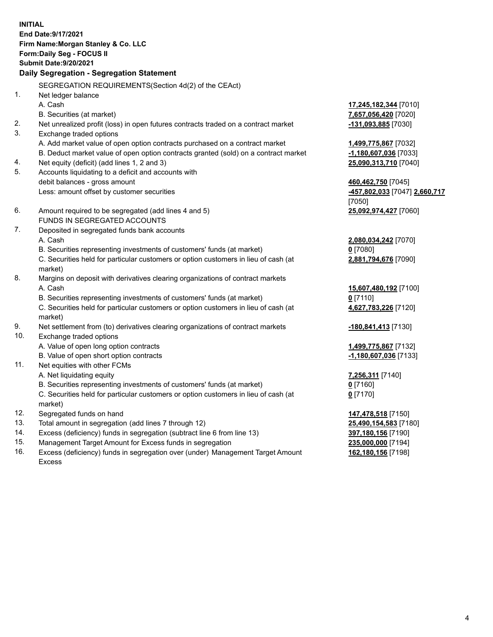**INITIAL End Date:9/17/2021 Firm Name:Morgan Stanley & Co. LLC Form:Daily Seg - FOCUS II Submit Date:9/20/2021 Daily Segregation - Segregation Statement** SEGREGATION REQUIREMENTS(Section 4d(2) of the CEAct) 1. Net ledger balance A. Cash **17,245,182,344** [7010] B. Securities (at market) **7,657,056,420** [7020] 2. Net unrealized profit (loss) in open futures contracts traded on a contract market **-131,093,885** [7030] 3. Exchange traded options A. Add market value of open option contracts purchased on a contract market **1,499,775,867** [7032] B. Deduct market value of open option contracts granted (sold) on a contract market **-1,180,607,036** [7033] 4. Net equity (deficit) (add lines 1, 2 and 3) **25,090,313,710** [7040] 5. Accounts liquidating to a deficit and accounts with debit balances - gross amount **460,462,750** [7045] Less: amount offset by customer securities **-457,802,033** [7047] **2,660,717** [7050] 6. Amount required to be segregated (add lines 4 and 5) **25,092,974,427** [7060] FUNDS IN SEGREGATED ACCOUNTS 7. Deposited in segregated funds bank accounts A. Cash **2,080,034,242** [7070] B. Securities representing investments of customers' funds (at market) **0** [7080] C. Securities held for particular customers or option customers in lieu of cash (at market) **2,881,794,676** [7090] 8. Margins on deposit with derivatives clearing organizations of contract markets A. Cash **15,607,480,192** [7100] B. Securities representing investments of customers' funds (at market) **0** [7110] C. Securities held for particular customers or option customers in lieu of cash (at market) **4,627,783,226** [7120] 9. Net settlement from (to) derivatives clearing organizations of contract markets **-180,841,413** [7130] 10. Exchange traded options A. Value of open long option contracts **1,499,775,867** [7132] B. Value of open short option contracts **-1,180,607,036** [7133] 11. Net equities with other FCMs A. Net liquidating equity **7,256,311** [7140] B. Securities representing investments of customers' funds (at market) **0** [7160] C. Securities held for particular customers or option customers in lieu of cash (at market) **0** [7170] 12. Segregated funds on hand **147,478,518** [7150] 13. Total amount in segregation (add lines 7 through 12) **25,490,154,583** [7180] 14. Excess (deficiency) funds in segregation (subtract line 6 from line 13) **397,180,156** [7190] 15. Management Target Amount for Excess funds in segregation **235,000,000** [7194]

16. Excess (deficiency) funds in segregation over (under) Management Target Amount Excess

**162,180,156** [7198]